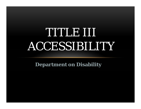# TUUND BITTI ACCESSIBILITY

**Department on Disability**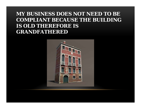#### **MY BUSINESS DOES NOT NEED TO BE COMPLIANT BECAUSE THE BUILDING IS OLD THEREFORE IS GRANDFATHERED**

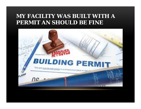#### **MY FACILITY WAS BUILT WITH A PERMIT AN SHOULD BE FINE**

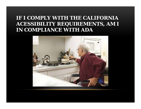#### **IF I COMPLY WITH THE CALIFORNIA ACESSIBILITY REQUIREMENTS, AM I IN COMPLIANCE WITH ADA**

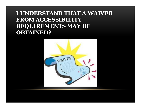## **I UNDERSTAND THAT A WAIVER FROM ACCESSIBILITY REQUIREMENTS MAY BE OBTAINED?**

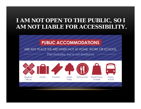## **I AM NOT OPEN TO THE PUBLIC, SO I AM NOT LIABLE FOR ACCESSIBILITY.**

#### **PUBLIC ACCOMMODATIONS**

#### ARE ANY PLACE WE ARE WHEN NOT AT HOME, WORK OR SCHOOL.

This includes, but is not limited to:

Parks



Medical

Offices



Hotels









**Retail Stores** & Malls

Public Transit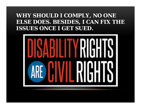#### **WHY SHOULD I COMPLY, NO ONE ELSE DOES. BESIDES, I CAN FIX THE ISSUES ONCE I GET SUED.**

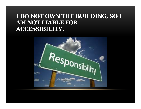## **I DO NOT OWN THE BUILDING, SO I AM NOT LIABLE FOR ACCESSIBILITY.**

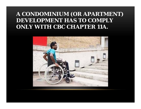## **A CONDOMINIUM (OR APARTMENT) DEVELOPMENT HAS TO COMPLY ONLY WITH CBC CHAPTER 11A.**

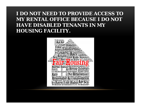#### **I DO NOT NEED TO PROVIDE ACCESS TO MY RENTAL OFFICE BECAUSE I DO NOT HAVE DISABLED TENANTS IN MY HOUSING FACILITY.**

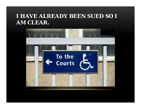#### **I HAVE ALREADY BEEN SUED SO I AM CLEAR.**

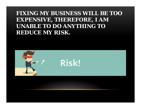## **FIXING MY BUSINESS WILL BE TOO EXPENSIVE, THEREFORE, I AM UNABLE TO DO ANYTHING TO REDUCE MY RISK.**

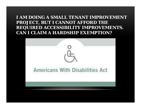#### **I AM DOING A SMALL TENANT IMPROVEMENT PROJECT, BUT I CANNOT AFFORD THE REQUIRED ACCESSIBILITY IMPROVEMENTS. CAN I CLAIM A HARDSHIP EXEMPTION?**

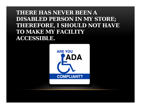## **THERE HAS NEVER BEEN A DISABLED PERSON IN MY STORE; THEREFORE, I SHOULD NOT HAVE TO MAKE MY FACILITY ACCESSIBLE.**

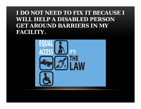## **I DO NOT NEED TO FIX IT BECAUSE I WILL HELP A DISABLED PERSON GET AROUND BARRIERS IN MY FACILITY.**

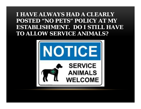## **I HAVE ALWAYS HAD A CLEARLY POSTED "NO PETS" POLICY AT MY ESTABLISHMENT. DO I STILL HAVE TO ALLOW SERVICE ANIMALS?**

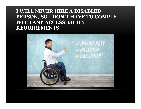#### **I WILL NEVER HIRE A DISABLED PERSON, SO I DON'T HAVE TO COMPLY WITH ANY ACCESSIBILITY REQUIREMENTS.**